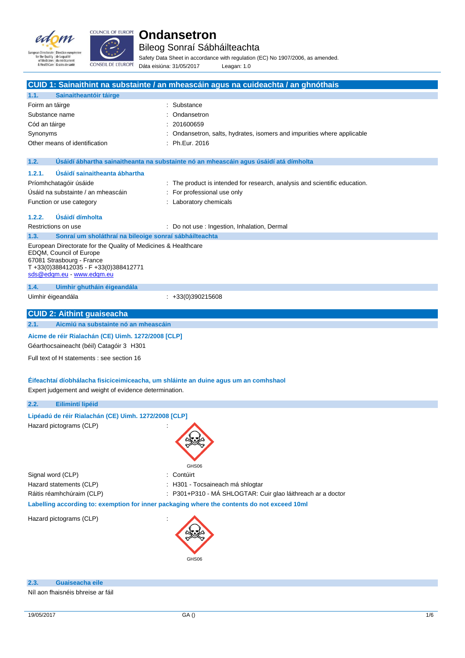



Bileog Sonraí Sábháilteachta

Safety Data Sheet in accordance with regulation (EC) No 1907/2006, as amended. Dáta eisiúna: 31/05/2017 Leagan: 1.0

|                   |                                                                                                | CUID 1: Sainaithint na substainte / an mheascáin agus na cuideachta / an ghnóthais          |
|-------------------|------------------------------------------------------------------------------------------------|---------------------------------------------------------------------------------------------|
| 1.1.              | Sainaitheantóir táirge                                                                         |                                                                                             |
| Foirm an táirge   |                                                                                                | Substance                                                                                   |
| Substance name    |                                                                                                | Ondansetron                                                                                 |
| Cód an táirge     |                                                                                                | 201600659                                                                                   |
| Synonyms          |                                                                                                | Ondansetron, salts, hydrates, isomers and impurities where applicable                       |
|                   | Other means of identification                                                                  | Ph.Eur. 2016                                                                                |
|                   |                                                                                                |                                                                                             |
| 1.2.              |                                                                                                | Usáidí ábhartha sainaitheanta na substainte nó an mheascáin agus úsáidí atá dímholta        |
| 1.2.1.            | Úsáidí sainaitheanta ábhartha                                                                  |                                                                                             |
|                   | Príomhchatagóir úsáide                                                                         | : The product is intended for research, analysis and scientific education.                  |
|                   | Úsáid na substainte / an mheascáin                                                             | For professional use only                                                                   |
|                   | Function or use category                                                                       | : Laboratory chemicals                                                                      |
|                   |                                                                                                |                                                                                             |
| 1.2.2.            | Úsáidí dímholta                                                                                |                                                                                             |
|                   | Restrictions on use                                                                            | : Do not use : Ingestion, Inhalation, Dermal                                                |
| 1.3.              | Sonraí um sholáthraí na bileoige sonraí sábháilteachta                                         |                                                                                             |
|                   | European Directorate for the Quality of Medicines & Healthcare                                 |                                                                                             |
|                   | EDQM, Council of Europe<br>67081 Strasbourg - France                                           |                                                                                             |
|                   | T+33(0)388412035 - F+33(0)388412771                                                            |                                                                                             |
|                   | sds@edqm.eu - www.edqm.eu                                                                      |                                                                                             |
| 1.4.              | Uimhir ghutháin éigeandála                                                                     |                                                                                             |
| Uimhir éigeandála |                                                                                                | $\div$ +33(0)390215608                                                                      |
|                   |                                                                                                |                                                                                             |
|                   | <b>CUID 2: Aithint guaiseacha</b>                                                              |                                                                                             |
| 2.1.              | Aicmiú na substainte nó an mheascáin                                                           |                                                                                             |
|                   | Aicme de réir Rialachán (CE) Uimh. 1272/2008 [CLP]<br>Géarthocsaineacht (béil) Catagóir 3 H301 |                                                                                             |
|                   | Full text of H statements : see section 16                                                     |                                                                                             |
|                   |                                                                                                | Éifeachtaí díobhálacha fisiciceimiceacha, um shláinte an duine agus um an comhshaol         |
|                   | Expert judgement and weight of evidence determination.                                         |                                                                                             |
| 2.2.              | Eilimintí lipéid                                                                               |                                                                                             |
|                   | Lipéadú de réir Rialachán (CE) Uimh. 1272/2008 [CLP]                                           |                                                                                             |
|                   | Hazard pictograms (CLP)                                                                        |                                                                                             |
|                   |                                                                                                |                                                                                             |
|                   |                                                                                                |                                                                                             |
|                   |                                                                                                |                                                                                             |
|                   |                                                                                                |                                                                                             |
| Signal word (CLP) |                                                                                                | GHS06<br>Contúirt                                                                           |
|                   | Hazard statements (CLP)                                                                        | H301 - Tocsaineach má shlogtar                                                              |
|                   | Ráitis réamhchúraim (CLP)                                                                      | P301+P310 - MÁ SHLOGTAR: Cuir glao láithreach ar a doctor                                   |
|                   |                                                                                                |                                                                                             |
|                   |                                                                                                | Labelling according to: exemption for inner packaging where the contents do not exceed 10ml |
|                   | Hazard pictograms (CLP)                                                                        |                                                                                             |
|                   |                                                                                                |                                                                                             |
|                   |                                                                                                |                                                                                             |
|                   |                                                                                                |                                                                                             |
|                   |                                                                                                | GHS06                                                                                       |
|                   |                                                                                                |                                                                                             |
|                   |                                                                                                |                                                                                             |
| 2.3.              | Guaiseacha eile                                                                                |                                                                                             |

Níl aon fhaisnéis bhreise ar fáil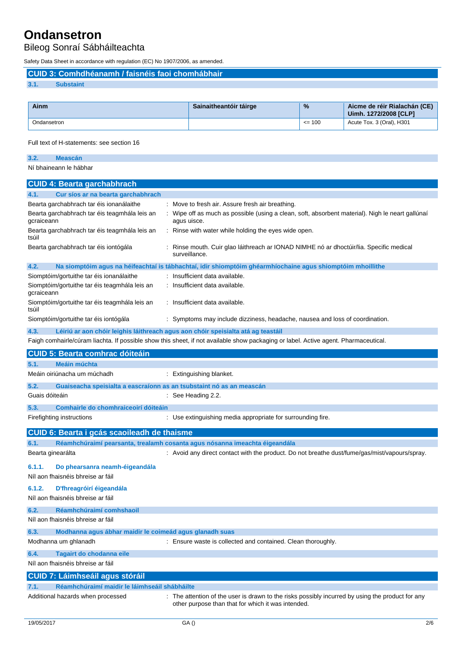### Bileog Sonraí Sábháilteachta

Safety Data Sheet in accordance with regulation (EC) No 1907/2006, as amended.

**CUID 3: Comhdhéanamh / faisnéis faoi chomhábhair**

### **3.1. Substaint**

| Ainm        | Sainaitheantóir táirge | $\frac{9}{6}$ | Aicme de réir Rialachán (CE)<br>Uimh. 1272/2008 [CLP] |
|-------------|------------------------|---------------|-------------------------------------------------------|
| Ondansetron |                        | $\leq$ 100    | Acute Tox. 3 (Oral), H301                             |

### Full text of H-statements: see section 16

| 3.2. |                        |  |
|------|------------------------|--|
|      | Ní bhaineann le hábhar |  |

| <b>CUID 4: Bearta garchabhrach</b>                                            |                                                                                                                                                        |
|-------------------------------------------------------------------------------|--------------------------------------------------------------------------------------------------------------------------------------------------------|
| Cur síos ar na bearta garchabhrach<br>4.1.                                    |                                                                                                                                                        |
| Bearta garchabhrach tar éis ionanálaithe                                      | Move to fresh air. Assure fresh air breathing.                                                                                                         |
| Bearta garchabhrach tar éis teagmhála leis an<br>gcraiceann                   | Wipe off as much as possible (using a clean, soft, absorbent material). Nigh le neart gallúnaí<br>agus uisce.                                          |
| Bearta garchabhrach tar éis teagmhála leis an<br>tsúil                        | Rinse with water while holding the eyes wide open.                                                                                                     |
| Bearta garchabhrach tar éis iontógála                                         | Rinse mouth. Cuir glao láithreach ar IONAD NIMHE nó ar dhoctúir/lia. Specific medical<br>surveillance.                                                 |
| 4.2.                                                                          | Na siomptóim agus na héifeachtaí is tábhachtaí, idir shiomptóim ghéarmhíochaine agus shiomptóim mhoillithe                                             |
| Siomptóim/gortuithe tar éis ionanálaithe                                      | Insufficient data available.                                                                                                                           |
| Siomptóim/gortuithe tar éis teagmhála leis an<br>gcraiceann                   | Insufficient data available.                                                                                                                           |
| Siomptóim/gortuithe tar éis teagmhála leis an<br>tsúil                        | : Insufficient data available.                                                                                                                         |
| Siomptóim/gortuithe tar éis iontógála                                         | : Symptoms may include dizziness, headache, nausea and loss of coordination.                                                                           |
| 4.3.                                                                          | Léiriú ar aon chóir leighis láithreach agus aon chóir speisialta atá ag teastáil                                                                       |
|                                                                               | Faigh comhairle/cúram liachta. If possible show this sheet, if not available show packaging or label. Active agent. Pharmaceutical.                    |
| <b>CUID 5: Bearta comhrac dóiteáin</b>                                        |                                                                                                                                                        |
| Meáin múchta<br>5.1.                                                          |                                                                                                                                                        |
| Meáin oiriúnacha um múchadh                                                   | : Extinguishing blanket.                                                                                                                               |
| 5.2.<br>Guaiseacha speisialta a eascraíonn as an tsubstaint nó as an meascán  |                                                                                                                                                        |
| Guais dóiteáin                                                                | $\therefore$ See Heading 2.2.                                                                                                                          |
| Comhairle do chomhraiceoirí dóiteáin<br>5.3.                                  |                                                                                                                                                        |
| Firefighting instructions                                                     | : Use extinguishing media appropriate for surrounding fire.                                                                                            |
| <b>CUID 6: Bearta i gcás scaoileadh de thaisme</b>                            |                                                                                                                                                        |
| 6.1.                                                                          | Réamhchúraimí pearsanta, trealamh cosanta agus nósanna imeachta éigeandála                                                                             |
| Bearta ginearálta                                                             | : Avoid any direct contact with the product. Do not breathe dust/fume/gas/mist/vapours/spray.                                                          |
| Do phearsanra neamh-éigeandála<br>6.1.1.<br>Níl aon fhaisnéis bhreise ar fáil |                                                                                                                                                        |
| 6.1.2.<br>D'fhreagróirí éigeandála                                            |                                                                                                                                                        |
| Níl aon fhaisnéis bhreise ar fáil                                             |                                                                                                                                                        |
| 6.2.<br>Réamhchúraimí comhshaoil                                              |                                                                                                                                                        |
| Níl aon fhaisnéis bhreise ar fáil                                             |                                                                                                                                                        |
| Modhanna agus ábhar maidir le coimeád agus glanadh suas<br>6.3.               |                                                                                                                                                        |
| Modhanna um ghlanadh                                                          | : Ensure waste is collected and contained. Clean thoroughly.                                                                                           |
| 6.4.<br>Tagairt do chodanna eile                                              |                                                                                                                                                        |
| Níl aon fhaisnéis bhreise ar fáil                                             |                                                                                                                                                        |
| <b>CUID 7: Láimhseáil agus stóráil</b>                                        |                                                                                                                                                        |
| Réamhchúraimí maidir le láimhseáil shábháilte<br>7.1.                         |                                                                                                                                                        |
| Additional hazards when processed                                             | : The attention of the user is drawn to the risks possibly incurred by using the product for any<br>other purpose than that for which it was intended. |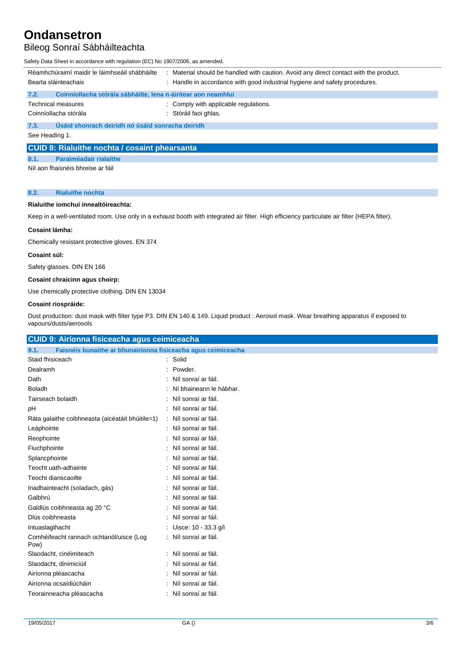## Bileog Sonraí Sábháilteachta

Safety Data Sheet in accordance with regulation (EC) No 1907/2006, as amended.

| Réamhchúraimí maidir le láimhseáil shábháilte                         | Material should be handled with caution. Avoid any direct contact with the product. |  |  |  |
|-----------------------------------------------------------------------|-------------------------------------------------------------------------------------|--|--|--|
| Bearta sláinteachais                                                  | : Handle in accordance with good industrial hygiene and safety procedures.          |  |  |  |
| Coinníollacha stórála sábháilte, lena n-áirítear aon neamhluí<br>7.2. |                                                                                     |  |  |  |
| <b>Technical measures</b>                                             | : Comply with applicable regulations.                                               |  |  |  |
| Coinníollacha stórála                                                 | : Stóráil faoi ghlas.                                                               |  |  |  |
| Úsáid shonrach deiridh nó úsáid sonracha deiridh<br>7.3.              |                                                                                     |  |  |  |
| See Heading 1.                                                        |                                                                                     |  |  |  |
|                                                                       |                                                                                     |  |  |  |

### **CUID 8: Rialuithe nochta / cosaint phearsanta**

**8.1. Paraiméadair rialaithe**

Níl aon fhaisnéis bhreise ar fáil

### **8.2. Rialuithe nochta**

### **Rialuithe iomchuí innealtóireachta:**

Keep in a well-ventilated room. Use only in a exhaust booth with integrated air filter. High efficiency particulate air filter (HEPA filter).

### **Cosaint lámha:**

Chemically resistant protective gloves. EN 374

### **Cosaint súl:**

Safety glasses. DIN EN 166

### **Cosaint chraicinn agus choirp:**

Use chemically protective clothing. DIN EN 13034

### **Cosaint riospráide:**

 $C$ UID  $Q: A^{\frac{1}{2}}$ 

Dust production: dust mask with filter type P3. DIN EN 140 & 149. Liquid product : Aerosol mask. Wear breathing apparatus if exposed to vapours/dusts/aerosols

| COID 9: Alflonna iisiceacha agus ceimiceacha                          |                         |
|-----------------------------------------------------------------------|-------------------------|
| 9.1.<br>Faisnéis bunaithe ar bhunairíonna fisiceacha agus ceimiceacha |                         |
| Staid fhisiceach                                                      | Solid                   |
| Dealramh                                                              | Powder.                 |
| Dath                                                                  | Níl sonraí ar fáil.     |
| <b>Boladh</b>                                                         | Ní bhaineann le hábhar. |
| Tairseach bolaidh                                                     | Níl sonraí ar fáil.     |
| рH                                                                    | Níl sonraí ar fáil.     |
| Ráta galaithe coibhneasta (aicéatáit bhúitile=1)                      | Níl sonraí ar fáil.     |
| Leáphointe                                                            | Níl sonraí ar fáil.     |
| Reophointe                                                            | Níl sonraí ar fáil.     |
| Fiuchphointe                                                          | Níl sonraí ar fáil.     |
| Splancphointe                                                         | Níl sonraí ar fáil.     |
| Teocht uath-adhainte                                                  | Níl sonraí ar fáil.     |
| Teocht dianscaoilte                                                   | Níl sonraí ar fáil.     |
| Inadhainteacht (soladach, gás)                                        | Níl sonraí ar fáil.     |
| Galbhrú                                                               | Níl sonraí ar fáil.     |
| Galdlús coibhneasta ag 20 °C                                          | Níl sonraí ar fáil.     |
| Dlús coibhneasta                                                      | Níl sonraí ar fáil.     |
| Intuaslagthacht                                                       | Uisce: 10 - 33.3 g/l    |
| Comhéifeacht rannach ochtanól/uisce (Log<br>Pow)                      | Níl sonraí ar fáil.     |
| Slaodacht, cinéimiteach                                               | Níl sonraí ar fáil.     |
| Slaodacht, dinimiciúil                                                | Níl sonraí ar fáil.     |
| Airíonna pléascacha                                                   | Níl sonraí ar fáil.     |
| Airíonna ocsaídiúcháin                                                | Níl sonraí ar fáil.     |
| Teorainneacha pléascacha                                              | Níl sonraí ar fáil.     |
|                                                                       |                         |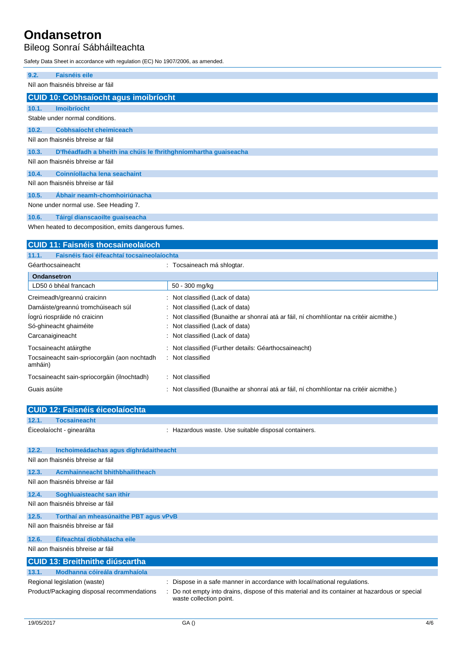Bileog Sonraí Sábháilteachta

Safety Data Sheet in accordance with regulation (EC) No 1907/2006, as amended.

| 9.2.                              | <b>Faisnéis eile</b>                                            |  |  |  |
|-----------------------------------|-----------------------------------------------------------------|--|--|--|
|                                   | Níl aon fhaisnéis bhreise ar fáil                               |  |  |  |
|                                   | <b>CUID 10: Cobhsaíocht agus imoibríocht</b>                    |  |  |  |
| 10.1.                             | <b>Imoibríocht</b>                                              |  |  |  |
|                                   | Stable under normal conditions.                                 |  |  |  |
| 10.2.                             | <b>Cobhsaíocht cheimiceach</b>                                  |  |  |  |
|                                   | Níl aon fhaisnéis bhreise ar fáil                               |  |  |  |
| 10.3.                             | D'fhéadfadh a bheith ina chúis le fhrithghníomhartha guaiseacha |  |  |  |
| Níl aon fhaisnéis bhreise ar fáil |                                                                 |  |  |  |
| 10.4.                             | Coinníollacha lena seachaint                                    |  |  |  |
| Níl aon fhaisnéis bhreise ar fáil |                                                                 |  |  |  |
| 10.5.                             | Ábhair neamh-chomhoiriúnacha                                    |  |  |  |
|                                   | None under normal use. See Heading 7.                           |  |  |  |
| 10.6.                             | Táirgí dianscaoilte guaiseacha                                  |  |  |  |

When heated to decomposition, emits dangerous fumes.

| <b>CUID 11: Faisnéis thocsaineolaíoch</b>                                                              |                                                                                          |  |  |  |  |
|--------------------------------------------------------------------------------------------------------|------------------------------------------------------------------------------------------|--|--|--|--|
| Faisnéis faoi éifeachtaí tocsaineolaíochta<br>11.1.                                                    |                                                                                          |  |  |  |  |
| Géarthocsaineacht                                                                                      | : Tocsaineach má shlogtar.                                                               |  |  |  |  |
| <b>Ondansetron</b>                                                                                     |                                                                                          |  |  |  |  |
| LD50 ó bhéal francach                                                                                  | 50 - 300 mg/kg                                                                           |  |  |  |  |
| Creimeadh/greannú craicinn                                                                             | : Not classified (Lack of data)                                                          |  |  |  |  |
| Damáiste/greannú tromchúiseach súl                                                                     | : Not classified (Lack of data)                                                          |  |  |  |  |
| logrú riospráide nó craicinn                                                                           | : Not classified (Bunaithe ar shonraí atá ar fáil, ní chomhlíontar na critéir aicmithe.) |  |  |  |  |
| Só-ghineacht ghaiméite                                                                                 | : Not classified (Lack of data)                                                          |  |  |  |  |
| Carcanaigineacht                                                                                       | : Not classified (Lack of data)                                                          |  |  |  |  |
| Tocsaineacht atáirgthe                                                                                 | : Not classified (Further details: Géarthocsaineacht)                                    |  |  |  |  |
| Tocsaineacht sain-spriocorgáin (aon nochtadh<br>amháin)                                                | : Not classified                                                                         |  |  |  |  |
| Tocsaineacht sain-spriocorgáin (ilnochtadh)                                                            | : Not classified                                                                         |  |  |  |  |
| Guais asúite<br>Not classified (Bunaithe ar shonraí atá ar fáil, ní chomhlíontar na critéir aicmithe.) |                                                                                          |  |  |  |  |

|       | <b>CUID 12: Faisnéis éiceolaíochta</b>     |                                                                                                                         |
|-------|--------------------------------------------|-------------------------------------------------------------------------------------------------------------------------|
| 12.1. | <b>Tocsaineacht</b>                        |                                                                                                                         |
|       | Éiceolaíocht - ginearálta                  | : Hazardous waste. Use suitable disposal containers.                                                                    |
| 12.2. | Inchoimeádachas agus díghrádaitheacht      |                                                                                                                         |
|       | Níl aon fhaisnéis bhreise ar fáil          |                                                                                                                         |
| 12.3. | <b>Acmhainneacht bhithbhailitheach</b>     |                                                                                                                         |
|       | Níl aon fhaisnéis bhreise ar fáil          |                                                                                                                         |
| 12.4. | Soghluaisteacht san ithir                  |                                                                                                                         |
|       | Níl aon fhaisnéis bhreise ar fáil          |                                                                                                                         |
| 12.5. | Torthaí an mheasúnaithe PBT agus vPvB      |                                                                                                                         |
|       | Níl aon fhaisnéis bhreise ar fáil          |                                                                                                                         |
| 12.6. | Éifeachtaí díobhálacha eile                |                                                                                                                         |
|       | Níl aon fhaisnéis bhreise ar fáil          |                                                                                                                         |
|       | <b>CUID 13: Breithnithe diúscartha</b>     |                                                                                                                         |
| 13.1. | Modhanna cóireála dramhaíola               |                                                                                                                         |
|       | Regional legislation (waste)               | : Dispose in a safe manner in accordance with local/national regulations.                                               |
|       | Product/Packaging disposal recommendations | Do not empty into drains, dispose of this material and its container at hazardous or special<br>waste collection point. |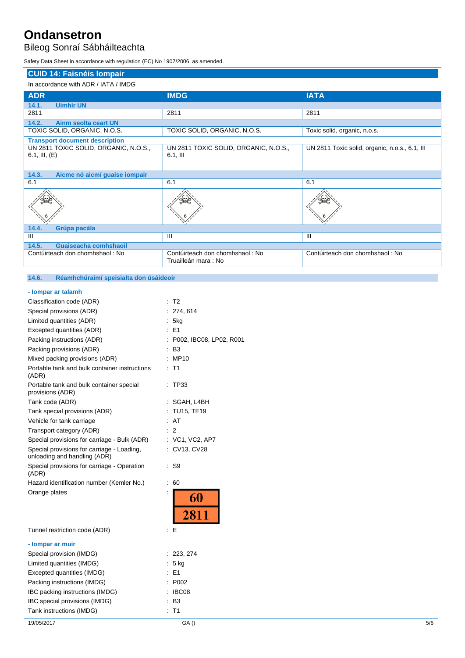Bileog Sonraí Sábháilteachta

Safety Data Sheet in accordance with regulation (EC) No 1907/2006, as amended.

| <b>CUID 14: Faisnéis Iompair</b>                            |                                                        |                                                |  |  |  |
|-------------------------------------------------------------|--------------------------------------------------------|------------------------------------------------|--|--|--|
| In accordance with ADR / IATA / IMDG                        |                                                        |                                                |  |  |  |
| <b>ADR</b>                                                  | <b>IMDG</b>                                            | <b>IATA</b>                                    |  |  |  |
| 14.1.<br><b>Uimhir UN</b>                                   |                                                        |                                                |  |  |  |
| 2811                                                        | 2811                                                   | 2811                                           |  |  |  |
| 14.2.<br>Ainm seolta ceart UN                               |                                                        |                                                |  |  |  |
| TOXIC SOLID, ORGANIC, N.O.S.                                | TOXIC SOLID, ORGANIC, N.O.S.                           | Toxic solid, organic, n.o.s.                   |  |  |  |
| <b>Transport document description</b>                       |                                                        |                                                |  |  |  |
| UN 2811 TOXIC SOLID, ORGANIC, N.O.S.,<br>$6.1$ , III, $(E)$ | UN 2811 TOXIC SOLID, ORGANIC, N.O.S.,<br>$6.1,$ III    | UN 2811 Toxic solid, organic, n.o.s., 6.1, III |  |  |  |
| 14.3.<br>Aicme nó aicmí guaise iompair                      |                                                        |                                                |  |  |  |
| 6.1                                                         | 6.1                                                    | 6.1                                            |  |  |  |
|                                                             |                                                        |                                                |  |  |  |
| 14.4.<br>Grúpa pacála                                       |                                                        |                                                |  |  |  |
| Ш                                                           | $\mathbf{III}$                                         | $\mathbf{III}$                                 |  |  |  |
| 14.5.<br>Guaiseacha comhshaoil                              |                                                        |                                                |  |  |  |
| Contúirteach don chomhshaol: No                             | Contúirteach don chomhshaol: No<br>Truailleán mara: No | Contúirteach don chomhshaol: No                |  |  |  |
|                                                             |                                                        |                                                |  |  |  |

### **14.6. Réamhchúraimí speisialta don úsáideoir**

| - lompar ar talamh |  |  |  |
|--------------------|--|--|--|

| Classification code (ADR)                                                  | t              | T <sub>2</sub>          |
|----------------------------------------------------------------------------|----------------|-------------------------|
| Special provisions (ADR)                                                   |                | 274, 614                |
| Limited quantities (ADR)                                                   |                | 5kg                     |
| Excepted quantities (ADR)                                                  |                | $E = 1$                 |
| Packing instructions (ADR)                                                 |                | P002, IBC08, LP02, R001 |
| Packing provisions (ADR)                                                   |                | B3                      |
| Mixed packing provisions (ADR)                                             |                | MP10                    |
| Portable tank and bulk container instructions<br>(ADR)                     |                | T1                      |
| Portable tank and bulk container special<br>provisions (ADR)               |                | TP33                    |
| Tank code (ADR)                                                            |                | SGAH, L4BH              |
| Tank special provisions (ADR)                                              |                | TU15, TE19              |
| Vehicle for tank carriage                                                  |                | AT                      |
| Transport category (ADR)                                                   |                | 2                       |
| Special provisions for carriage - Bulk (ADR)                               |                | $:$ VC1, VC2, AP7       |
| Special provisions for carriage - Loading,<br>unloading and handling (ADR) | ÷.             | CV13, CV28              |
| Special provisions for carriage - Operation<br>(ADR)                       | ÷.             | S9                      |
| Hazard identification number (Kemler No.)                                  | $\ddot{\cdot}$ | 60                      |
| Orange plates                                                              |                | 60<br>2811              |
| Tunnel restriction code (ADR)                                              | İ              | Е                       |
| - lompar ar muir                                                           |                |                         |
| Special provision (IMDG)                                                   |                | 223, 274                |
| Limited quantities (IMDG)                                                  | İ.             | $5$ kg                  |
| Excepted quantities (IMDG)                                                 |                | E1                      |
| Packing instructions (IMDG)                                                |                | P002                    |
| IBC packing instructions (IMDG)                                            |                | IBC08                   |
| IBC special provisions (IMDG)                                              |                | B <sub>3</sub>          |
| Tank instructions (IMDG)                                                   |                | T <sub>1</sub>          |
|                                                                            |                |                         |